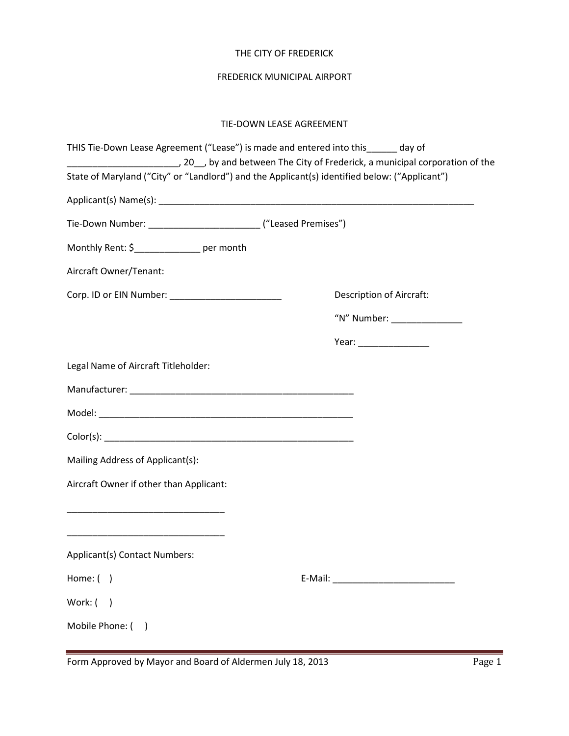### THE CITY OF FREDERICK

## FREDERICK MUNICIPAL AIRPORT

## TIE-DOWN LEASE AGREEMENT

| THIS Tie-Down Lease Agreement ("Lease") is made and entered into this______ day of            |  |                                 |
|-----------------------------------------------------------------------------------------------|--|---------------------------------|
| State of Maryland ("City" or "Landlord") and the Applicant(s) identified below: ("Applicant") |  |                                 |
|                                                                                               |  |                                 |
| Tie-Down Number: __________________________________ ("Leased Premises")                       |  |                                 |
| Monthly Rent: \$_______________ per month                                                     |  |                                 |
| Aircraft Owner/Tenant:                                                                        |  |                                 |
| Corp. ID or EIN Number: ________________________                                              |  | <b>Description of Aircraft:</b> |
|                                                                                               |  | "N" Number: ________________    |
|                                                                                               |  |                                 |
| Legal Name of Aircraft Titleholder:                                                           |  |                                 |
|                                                                                               |  |                                 |
|                                                                                               |  |                                 |
|                                                                                               |  |                                 |
| Mailing Address of Applicant(s):                                                              |  |                                 |
| Aircraft Owner if other than Applicant:                                                       |  |                                 |
| <u> 1989 - Johann John Stone, mars eta biztanleria (h. 1989).</u>                             |  |                                 |
|                                                                                               |  |                                 |
| Applicant(s) Contact Numbers:                                                                 |  |                                 |
| Home: $( )$                                                                                   |  |                                 |
| Work: (<br>$\overline{\phantom{a}}$                                                           |  |                                 |
| Mobile Phone: (                                                                               |  |                                 |
|                                                                                               |  |                                 |

Form Approved by Mayor and Board of Aldermen July 18, 2013 Page 1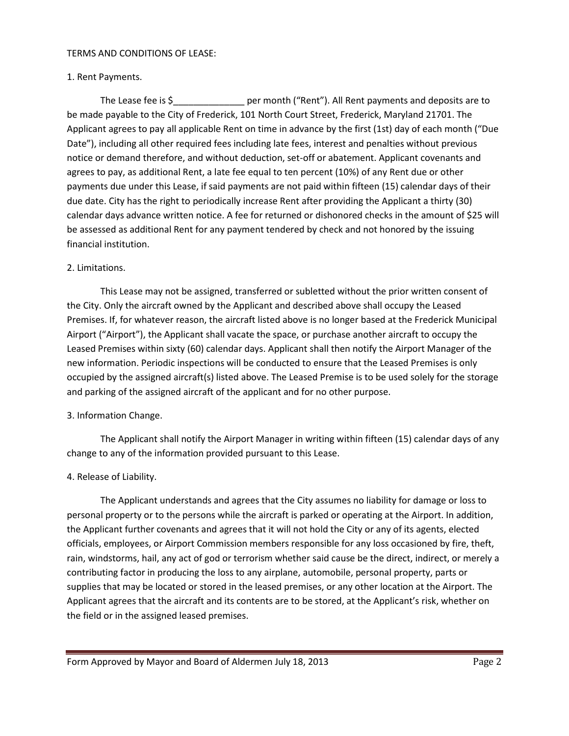#### TERMS AND CONDITIONS OF LEASE:

### 1. Rent Payments.

The Lease fee is \$\_\_\_\_\_\_\_\_\_\_\_\_\_\_\_\_\_\_\_\_ per month ("Rent"). All Rent payments and deposits are to be made payable to the City of Frederick, 101 North Court Street, Frederick, Maryland 21701. The Applicant agrees to pay all applicable Rent on time in advance by the first (1st) day of each month ("Due Date"), including all other required fees including late fees, interest and penalties without previous notice or demand therefore, and without deduction, set-off or abatement. Applicant covenants and agrees to pay, as additional Rent, a late fee equal to ten percent (10%) of any Rent due or other payments due under this Lease, if said payments are not paid within fifteen (15) calendar days of their due date. City has the right to periodically increase Rent after providing the Applicant a thirty (30) calendar days advance written notice. A fee for returned or dishonored checks in the amount of \$25 will be assessed as additional Rent for any payment tendered by check and not honored by the issuing financial institution.

### 2. Limitations.

This Lease may not be assigned, transferred or subletted without the prior written consent of the City. Only the aircraft owned by the Applicant and described above shall occupy the Leased Premises. If, for whatever reason, the aircraft listed above is no longer based at the Frederick Municipal Airport ("Airport"), the Applicant shall vacate the space, or purchase another aircraft to occupy the Leased Premises within sixty (60) calendar days. Applicant shall then notify the Airport Manager of the new information. Periodic inspections will be conducted to ensure that the Leased Premises is only occupied by the assigned aircraft(s) listed above. The Leased Premise is to be used solely for the storage and parking of the assigned aircraft of the applicant and for no other purpose.

### 3. Information Change.

The Applicant shall notify the Airport Manager in writing within fifteen (15) calendar days of any change to any of the information provided pursuant to this Lease.

### 4. Release of Liability.

The Applicant understands and agrees that the City assumes no liability for damage or loss to personal property or to the persons while the aircraft is parked or operating at the Airport. In addition, the Applicant further covenants and agrees that it will not hold the City or any of its agents, elected officials, employees, or Airport Commission members responsible for any loss occasioned by fire, theft, rain, windstorms, hail, any act of god or terrorism whether said cause be the direct, indirect, or merely a contributing factor in producing the loss to any airplane, automobile, personal property, parts or supplies that may be located or stored in the leased premises, or any other location at the Airport. The Applicant agrees that the aircraft and its contents are to be stored, at the Applicant's risk, whether on the field or in the assigned leased premises.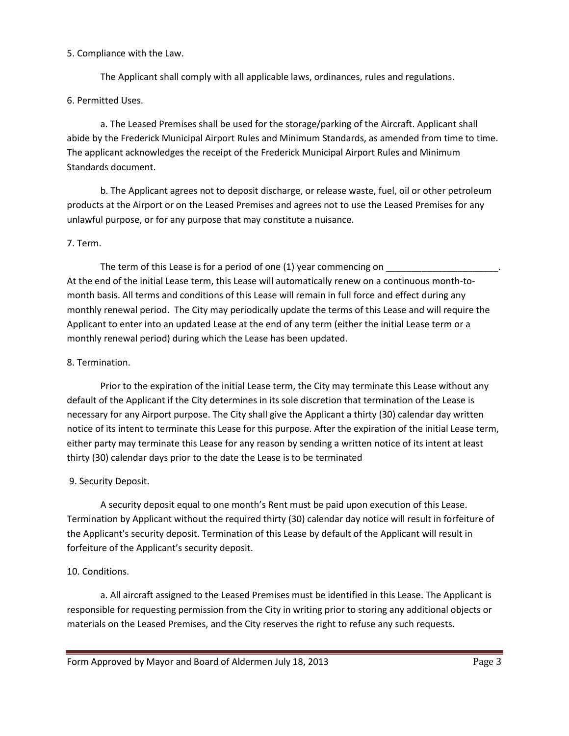### 5. Compliance with the Law.

The Applicant shall comply with all applicable laws, ordinances, rules and regulations.

# 6. Permitted Uses.

a. The Leased Premises shall be used for the storage/parking of the Aircraft. Applicant shall abide by the Frederick Municipal Airport Rules and Minimum Standards, as amended from time to time. The applicant acknowledges the receipt of the Frederick Municipal Airport Rules and Minimum Standards document.

b. The Applicant agrees not to deposit discharge, or release waste, fuel, oil or other petroleum products at the Airport or on the Leased Premises and agrees not to use the Leased Premises for any unlawful purpose, or for any purpose that may constitute a nuisance.

# 7. Term.

The term of this Lease is for a period of one (1) year commencing on At the end of the initial Lease term, this Lease will automatically renew on a continuous month-tomonth basis. All terms and conditions of this Lease will remain in full force and effect during any monthly renewal period. The City may periodically update the terms of this Lease and will require the Applicant to enter into an updated Lease at the end of any term (either the initial Lease term or a monthly renewal period) during which the Lease has been updated.

## 8. Termination.

Prior to the expiration of the initial Lease term, the City may terminate this Lease without any default of the Applicant if the City determines in its sole discretion that termination of the Lease is necessary for any Airport purpose. The City shall give the Applicant a thirty (30) calendar day written notice of its intent to terminate this Lease for this purpose. After the expiration of the initial Lease term, either party may terminate this Lease for any reason by sending a written notice of its intent at least thirty (30) calendar days prior to the date the Lease is to be terminated

# 9. Security Deposit.

A security deposit equal to one month's Rent must be paid upon execution of this Lease. Termination by Applicant without the required thirty (30) calendar day notice will result in forfeiture of the Applicant's security deposit. Termination of this Lease by default of the Applicant will result in forfeiture of the Applicant's security deposit.

# 10. Conditions.

a. All aircraft assigned to the Leased Premises must be identified in this Lease. The Applicant is responsible for requesting permission from the City in writing prior to storing any additional objects or materials on the Leased Premises, and the City reserves the right to refuse any such requests.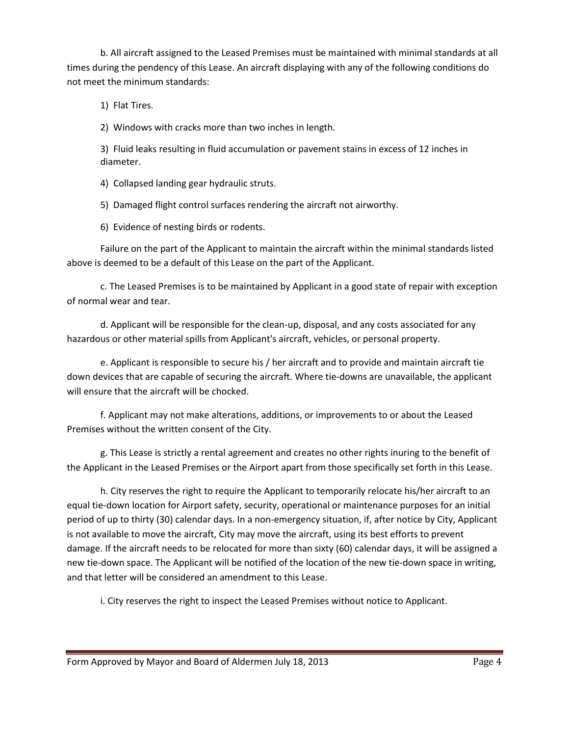b. All aircraft assigned to the Leased Premises must be maintained with minimal standards at all times during the pendency of this Lease. An aircraft displaying with any of the following conditions do not meet the minimum standards:

1) Flat Tires.

2) Windows with cracks more than two inches in length.

3) Fluid leaks resulting in fluid accumulation or pavement stains in excess of 12 inches in diameter.

4) Collapsed landing gear hydraulic struts.

5) Damaged flight control surfaces rendering the aircraft not airworthy.

6) Evidence of nesting birds or rodents.

Failure on the part of the Applicant to maintain the aircraft within the minimal standards listed above is deemed to be a default of this Lease on the part of the Applicant.

c. The Leased Premises is to be maintained by Applicant in a good state of repair with exception of normal wear and tear.

d. Applicant will be responsible for the clean-up, disposal, and any costs associated for any hazardous or other material spills from Applicant's aircraft, vehicles, or personal property.

e. Applicant is responsible to secure his / her aircraft and to provide and maintain aircraft tie down devices that are capable of securing the aircraft. Where tie-downs are unavailable, the applicant will ensure that the aircraft will be chocked.

f. Applicant may not make alterations, additions, or improvements to or about the Leased Premises without the written consent of the City.

g. This Lease is strictly a rental agreement and creates no other rights inuring to the benefit of the Applicant in the Leased Premises or the Airport apart from those specifically set forth in this Lease.

h. City reserves the right to require the Applicant to temporarily relocate his/her aircraft to an equal tie-down location for Airport safety, security, operational or maintenance purposes for an initial period of up to thirty (30) calendar days. In a non-emergency situation, if, after notice by City, Applicant is not available to move the aircraft, City may move the aircraft, using its best efforts to prevent damage. If the aircraft needs to be relocated for more than sixty (60) calendar days, it will be assigned a new tie-down space. The Applicant will be notified of the location of the new tie-down space in writing, and that letter will be considered an amendment to this Lease.

i. City reserves the right to inspect the Leased Premises without notice to Applicant.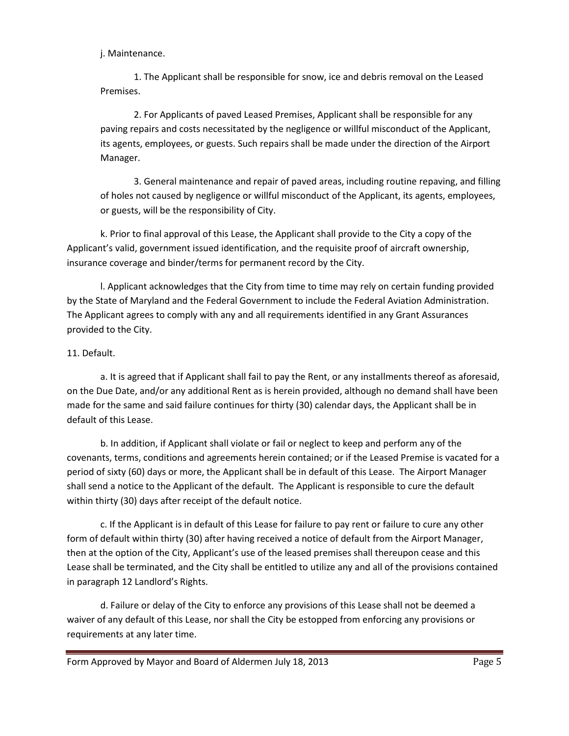j. Maintenance.

1. The Applicant shall be responsible for snow, ice and debris removal on the Leased Premises.

2. For Applicants of paved Leased Premises, Applicant shall be responsible for any paving repairs and costs necessitated by the negligence or willful misconduct of the Applicant, its agents, employees, or guests. Such repairs shall be made under the direction of the Airport Manager.

3. General maintenance and repair of paved areas, including routine repaving, and filling of holes not caused by negligence or willful misconduct of the Applicant, its agents, employees, or guests, will be the responsibility of City.

k. Prior to final approval of this Lease, the Applicant shall provide to the City a copy of the Applicant's valid, government issued identification, and the requisite proof of aircraft ownership, insurance coverage and binder/terms for permanent record by the City.

l. Applicant acknowledges that the City from time to time may rely on certain funding provided by the State of Maryland and the Federal Government to include the Federal Aviation Administration. The Applicant agrees to comply with any and all requirements identified in any Grant Assurances provided to the City.

# 11. Default.

a. It is agreed that if Applicant shall fail to pay the Rent, or any installments thereof as aforesaid, on the Due Date, and/or any additional Rent as is herein provided, although no demand shall have been made for the same and said failure continues for thirty (30) calendar days, the Applicant shall be in default of this Lease.

b. In addition, if Applicant shall violate or fail or neglect to keep and perform any of the covenants, terms, conditions and agreements herein contained; or if the Leased Premise is vacated for a period of sixty (60) days or more, the Applicant shall be in default of this Lease. The Airport Manager shall send a notice to the Applicant of the default. The Applicant is responsible to cure the default within thirty (30) days after receipt of the default notice.

c. If the Applicant is in default of this Lease for failure to pay rent or failure to cure any other form of default within thirty (30) after having received a notice of default from the Airport Manager, then at the option of the City, Applicant's use of the leased premises shall thereupon cease and this Lease shall be terminated, and the City shall be entitled to utilize any and all of the provisions contained in paragraph 12 Landlord's Rights.

d. Failure or delay of the City to enforce any provisions of this Lease shall not be deemed a waiver of any default of this Lease, nor shall the City be estopped from enforcing any provisions or requirements at any later time.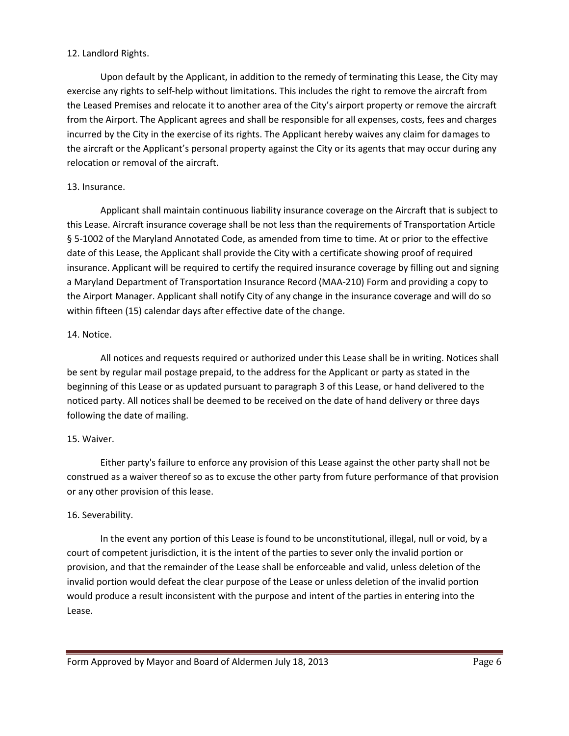### 12. Landlord Rights.

Upon default by the Applicant, in addition to the remedy of terminating this Lease, the City may exercise any rights to self-help without limitations. This includes the right to remove the aircraft from the Leased Premises and relocate it to another area of the City's airport property or remove the aircraft from the Airport. The Applicant agrees and shall be responsible for all expenses, costs, fees and charges incurred by the City in the exercise of its rights. The Applicant hereby waives any claim for damages to the aircraft or the Applicant's personal property against the City or its agents that may occur during any relocation or removal of the aircraft.

## 13. Insurance.

Applicant shall maintain continuous liability insurance coverage on the Aircraft that is subject to this Lease. Aircraft insurance coverage shall be not less than the requirements of Transportation Article § 5-1002 of the Maryland Annotated Code, as amended from time to time. At or prior to the effective date of this Lease, the Applicant shall provide the City with a certificate showing proof of required insurance. Applicant will be required to certify the required insurance coverage by filling out and signing a Maryland Department of Transportation Insurance Record (MAA-210) Form and providing a copy to the Airport Manager. Applicant shall notify City of any change in the insurance coverage and will do so within fifteen (15) calendar days after effective date of the change.

### 14. Notice.

All notices and requests required or authorized under this Lease shall be in writing. Notices shall be sent by regular mail postage prepaid, to the address for the Applicant or party as stated in the beginning of this Lease or as updated pursuant to paragraph 3 of this Lease, or hand delivered to the noticed party. All notices shall be deemed to be received on the date of hand delivery or three days following the date of mailing.

# 15. Waiver.

Either party's failure to enforce any provision of this Lease against the other party shall not be construed as a waiver thereof so as to excuse the other party from future performance of that provision or any other provision of this lease.

# 16. Severability.

In the event any portion of this Lease is found to be unconstitutional, illegal, null or void, by a court of competent jurisdiction, it is the intent of the parties to sever only the invalid portion or provision, and that the remainder of the Lease shall be enforceable and valid, unless deletion of the invalid portion would defeat the clear purpose of the Lease or unless deletion of the invalid portion would produce a result inconsistent with the purpose and intent of the parties in entering into the Lease.